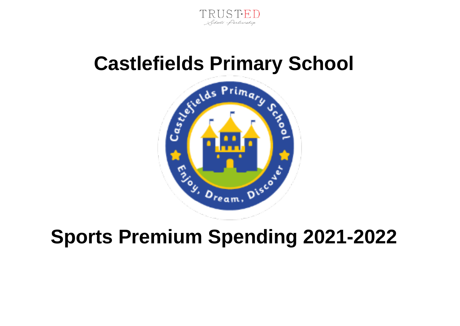

## **Castlefields Primary School**



## **Sports Premium Spending 2021-2022**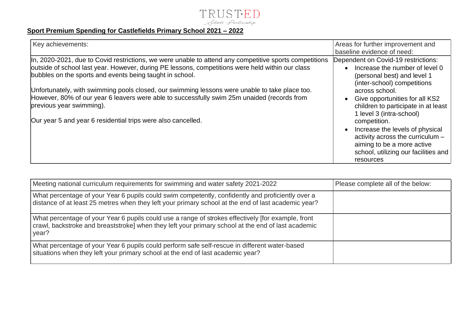

## **Sport Premium Spending for Castlefields Primary School 2021 – 2022**

| Key achievements:                                                                                                                                                                                                                                                                                                                                                                                                                                                                                                                                                   | Areas for further improvement and<br>baseline evidence of need:                                                                                                                                                                                                                                                                                                                 |
|---------------------------------------------------------------------------------------------------------------------------------------------------------------------------------------------------------------------------------------------------------------------------------------------------------------------------------------------------------------------------------------------------------------------------------------------------------------------------------------------------------------------------------------------------------------------|---------------------------------------------------------------------------------------------------------------------------------------------------------------------------------------------------------------------------------------------------------------------------------------------------------------------------------------------------------------------------------|
| In, 2020-2021, due to Covid restrictions, we were unable to attend any competitive sports competitions<br>outside of school last year. However, during PE lessons, competitions were held within our class<br>bubbles on the sports and events being taught in school.<br>Unfortunately, with swimming pools closed, our swimming lessons were unable to take place too.<br>However, 80% of our year 6 leavers were able to successfully swim 25m unaided (records from<br>previous year swimming).<br>Our year 5 and year 6 residential trips were also cancelled. | Dependent on Covid-19 restrictions:<br>Increase the number of level 0<br>(personal best) and level 1<br>(inter-school) competitions<br>across school.<br>Give opportunities for all KS2<br>children to participate in at least<br>1 level 3 (intra-school)<br>competition.<br>Increase the levels of physical<br>activity across the curriculum -<br>aiming to be a more active |
|                                                                                                                                                                                                                                                                                                                                                                                                                                                                                                                                                                     | school, utilizing our facilities and<br>resources                                                                                                                                                                                                                                                                                                                               |

| Meeting national curriculum requirements for swimming and water safety 2021-2022                                                                                                                                  | Please complete all of the below: |
|-------------------------------------------------------------------------------------------------------------------------------------------------------------------------------------------------------------------|-----------------------------------|
| What percentage of your Year 6 pupils could swim competently, confidently and proficiently over a<br>distance of at least 25 metres when they left your primary school at the end of last academic year?          |                                   |
| What percentage of your Year 6 pupils could use a range of strokes effectively [for example, front<br>crawl, backstroke and breaststroke] when they left your primary school at the end of last academic<br>year? |                                   |
| What percentage of your Year 6 pupils could perform safe self-rescue in different water-based<br>situations when they left your primary school at the end of last academic year?                                  |                                   |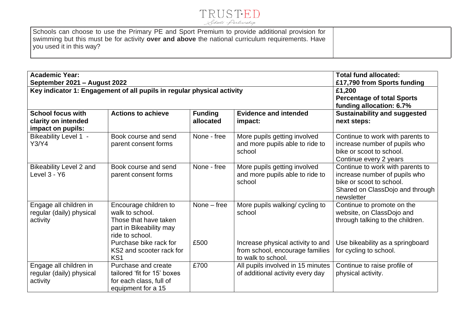

| Schools can choose to use the Primary PE and Sport Premium to provide additional provision for<br>swimming but this must be for activity <b>over and above</b> the national curriculum requirements. Have |  |
|-----------------------------------------------------------------------------------------------------------------------------------------------------------------------------------------------------------|--|
| you used it in this way?                                                                                                                                                                                  |  |

| <b>Academic Year:</b><br>September 2021 - August 2022                |                                                                                                                 |                             |                                                                                            | <b>Total fund allocated:</b><br>£17,790 from Sports funding                                                                                    |
|----------------------------------------------------------------------|-----------------------------------------------------------------------------------------------------------------|-----------------------------|--------------------------------------------------------------------------------------------|------------------------------------------------------------------------------------------------------------------------------------------------|
|                                                                      | Key indicator 1: Engagement of all pupils in regular physical activity                                          |                             |                                                                                            | £1,200<br><b>Percentage of total Sports</b><br>funding allocation: 6.7%                                                                        |
| <b>School focus with</b><br>clarity on intended<br>impact on pupils: | <b>Actions to achieve</b>                                                                                       | <b>Funding</b><br>allocated | <b>Evidence and intended</b><br>impact:                                                    | <b>Sustainability and suggested</b><br>next steps:                                                                                             |
| <b>Bikeability Level 1 -</b><br>Y3/Y4                                | Book course and send<br>parent consent forms                                                                    | None - free                 | More pupils getting involved<br>and more pupils able to ride to<br>school                  | Continue to work with parents to<br>increase number of pupils who<br>bike or scoot to school.<br>Continue every 2 years                        |
| <b>Bikeability Level 2 and</b><br>Level 3 - Y6                       | Book course and send<br>parent consent forms                                                                    | None - free                 | More pupils getting involved<br>and more pupils able to ride to<br>school                  | Continue to work with parents to<br>increase number of pupils who<br>bike or scoot to school.<br>Shared on ClassDojo and through<br>newsletter |
| Engage all children in<br>regular (daily) physical<br>activity       | Encourage children to<br>walk to school.<br>Those that have taken<br>part in Bikeability may<br>ride to school. | None $-$ free               | More pupils walking/ cycling to<br>school                                                  | Continue to promote on the<br>website, on ClassDojo and<br>through talking to the children.                                                    |
|                                                                      | Purchase bike rack for<br>KS2 and scooter rack for<br>KS <sub>1</sub>                                           | £500                        | Increase physical activity to and<br>from school, encourage families<br>to walk to school. | Use bikeability as a springboard<br>for cycling to school.                                                                                     |
| Engage all children in<br>regular (daily) physical<br>activity       | Purchase and create<br>tailored 'fit for 15' boxes<br>for each class, full of<br>equipment for a 15             | £700                        | All pupils involved in 15 minutes<br>of additional activity every day                      | Continue to raise profile of<br>physical activity.                                                                                             |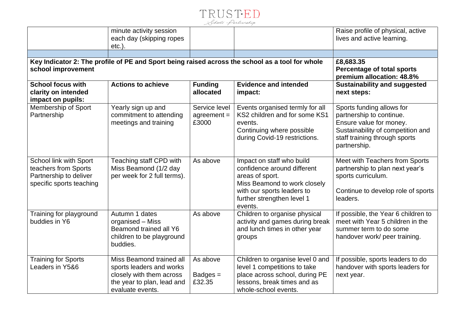| Schools' Partnership | TRUSTED |  |
|----------------------|---------|--|
|                      |         |  |

|                                                                                                      | minute activity session<br>each day (skipping ropes<br>$etc.$ ).                                                                   |                                         |                                                                                                                                                                                    | Raise profile of physical, active<br>lives and active learning.                                                                                                        |
|------------------------------------------------------------------------------------------------------|------------------------------------------------------------------------------------------------------------------------------------|-----------------------------------------|------------------------------------------------------------------------------------------------------------------------------------------------------------------------------------|------------------------------------------------------------------------------------------------------------------------------------------------------------------------|
|                                                                                                      |                                                                                                                                    |                                         |                                                                                                                                                                                    |                                                                                                                                                                        |
| school improvement                                                                                   |                                                                                                                                    |                                         | Key Indicator 2: The profile of PE and Sport being raised across the school as a tool for whole                                                                                    | £8,683.35<br><b>Percentage of total sports</b><br>premium allocation: 48.8%                                                                                            |
| <b>School focus with</b><br>clarity on intended<br>impact on pupils:                                 | <b>Actions to achieve</b>                                                                                                          | <b>Funding</b><br>allocated             | <b>Evidence and intended</b><br>impact:                                                                                                                                            | <b>Sustainability and suggested</b><br>next steps:                                                                                                                     |
| Membership of Sport<br>Partnership                                                                   | Yearly sign up and<br>commitment to attending<br>meetings and training                                                             | Service level<br>$agreement =$<br>£3000 | Events organised termly for all<br>KS2 children and for some KS1<br>events.<br>Continuing where possible<br>during Covid-19 restrictions.                                          | Sports funding allows for<br>partnership to continue.<br>Ensure value for money.<br>Sustainability of competition and<br>staff training through sports<br>partnership. |
| School link with Sport<br>teachers from Sports<br>Partnership to deliver<br>specific sports teaching | Teaching staff CPD with<br>Miss Beamond (1/2 day<br>per week for 2 full terms).                                                    | As above                                | Impact on staff who build<br>confidence around different<br>areas of sport.<br>Miss Beamond to work closely<br>with our sports leaders to<br>further strengthen level 1<br>events. | Meet with Teachers from Sports<br>partnership to plan next year's<br>sports curriculum.<br>Continue to develop role of sports<br>leaders.                              |
| Training for playground<br>buddies in Y6                                                             | Autumn 1 dates<br>organised - Miss<br>Beamond trained all Y6<br>children to be playground<br>buddies.                              | As above                                | Children to organise physical<br>activity and games during break<br>and lunch times in other year<br>groups                                                                        | If possible, the Year 6 children to<br>meet with Year 5 children in the<br>summer term to do some<br>handover work/ peer training.                                     |
| <b>Training for Sports</b><br>Leaders in Y5&6                                                        | Miss Beamond trained all<br>sports leaders and works<br>closely with them across<br>the year to plan, lead and<br>evaluate events. | As above<br>$Badges =$<br>£32.35        | Children to organise level 0 and<br>level 1 competitions to take<br>place across school, during PE<br>lessons, break times and as<br>whole-school events.                          | If possible, sports leaders to do<br>handover with sports leaders for<br>next year.                                                                                    |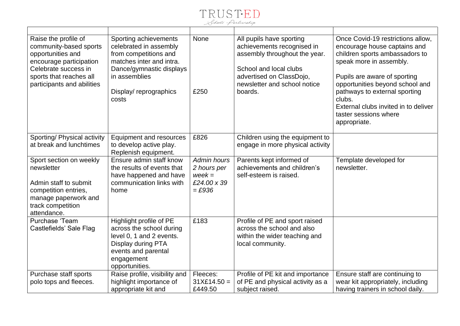

| Raise the profile of<br>community-based sports<br>opportunities and<br>encourage participation<br>Celebrate success in<br>sports that reaches all<br>participants and abilities | Sporting achievements<br>celebrated in assembly<br>from competitions and<br>matches inter and intra.<br>Dance/gymnastic displays<br>in assemblies<br>Display/reprographics<br>costs | None<br>£250            | All pupils have sporting<br>achievements recognised in<br>assembly throughout the year.<br>School and local clubs<br>advertised on ClassDojo,<br>newsletter and school notice<br>boards. | Once Covid-19 restrictions allow,<br>encourage house captains and<br>children sports ambassadors to<br>speak more in assembly.<br>Pupils are aware of sporting<br>opportunities beyond school and<br>pathways to external sporting<br>clubs.<br>External clubs invited in to deliver<br>taster sessions where<br>appropriate. |
|---------------------------------------------------------------------------------------------------------------------------------------------------------------------------------|-------------------------------------------------------------------------------------------------------------------------------------------------------------------------------------|-------------------------|------------------------------------------------------------------------------------------------------------------------------------------------------------------------------------------|-------------------------------------------------------------------------------------------------------------------------------------------------------------------------------------------------------------------------------------------------------------------------------------------------------------------------------|
| Sporting/ Physical activity                                                                                                                                                     | <b>Equipment and resources</b>                                                                                                                                                      | £826                    | Children using the equipment to                                                                                                                                                          |                                                                                                                                                                                                                                                                                                                               |
| at break and lunchtimes                                                                                                                                                         | to develop active play.<br>Replenish equipment.                                                                                                                                     |                         | engage in more physical activity                                                                                                                                                         |                                                                                                                                                                                                                                                                                                                               |
| Sport section on weekly                                                                                                                                                         | Ensure admin staff know                                                                                                                                                             | <b>Admin hours</b>      | Parents kept informed of                                                                                                                                                                 | Template developed for                                                                                                                                                                                                                                                                                                        |
| newsletter                                                                                                                                                                      | the results of events that                                                                                                                                                          | 2 hours per             | achievements and children's                                                                                                                                                              | newsletter.                                                                                                                                                                                                                                                                                                                   |
|                                                                                                                                                                                 | have happened and have                                                                                                                                                              | $week =$                | self-esteem is raised.                                                                                                                                                                   |                                                                                                                                                                                                                                                                                                                               |
| Admin staff to submit                                                                                                                                                           | communication links with<br>home                                                                                                                                                    | £24.00 x 39<br>$=$ £936 |                                                                                                                                                                                          |                                                                                                                                                                                                                                                                                                                               |
| competition entries,<br>manage paperwork and                                                                                                                                    |                                                                                                                                                                                     |                         |                                                                                                                                                                                          |                                                                                                                                                                                                                                                                                                                               |
| track competition                                                                                                                                                               |                                                                                                                                                                                     |                         |                                                                                                                                                                                          |                                                                                                                                                                                                                                                                                                                               |
| attendance.                                                                                                                                                                     |                                                                                                                                                                                     |                         |                                                                                                                                                                                          |                                                                                                                                                                                                                                                                                                                               |
| Purchase 'Team                                                                                                                                                                  | Highlight profile of PE                                                                                                                                                             | £183                    | Profile of PE and sport raised                                                                                                                                                           |                                                                                                                                                                                                                                                                                                                               |
| Castlefields' Sale Flag                                                                                                                                                         | across the school during                                                                                                                                                            |                         | across the school and also                                                                                                                                                               |                                                                                                                                                                                                                                                                                                                               |
|                                                                                                                                                                                 | level 0, 1 and 2 events.                                                                                                                                                            |                         | within the wider teaching and                                                                                                                                                            |                                                                                                                                                                                                                                                                                                                               |
|                                                                                                                                                                                 | Display during PTA                                                                                                                                                                  |                         | local community.                                                                                                                                                                         |                                                                                                                                                                                                                                                                                                                               |
|                                                                                                                                                                                 | events and parental<br>engagement                                                                                                                                                   |                         |                                                                                                                                                                                          |                                                                                                                                                                                                                                                                                                                               |
|                                                                                                                                                                                 | opportunities.                                                                                                                                                                      |                         |                                                                                                                                                                                          |                                                                                                                                                                                                                                                                                                                               |
| Purchase staff sports                                                                                                                                                           | Raise profile, visibility and                                                                                                                                                       | Fleeces:                | Profile of PE kit and importance                                                                                                                                                         | Ensure staff are continuing to                                                                                                                                                                                                                                                                                                |
| polo tops and fleeces.                                                                                                                                                          | highlight importance of                                                                                                                                                             | $31X£14.50 =$           | of PE and physical activity as a                                                                                                                                                         | wear kit appropriately, including                                                                                                                                                                                                                                                                                             |
|                                                                                                                                                                                 | appropriate kit and                                                                                                                                                                 | £449.50                 | subject raised.                                                                                                                                                                          | having trainers in school daily.                                                                                                                                                                                                                                                                                              |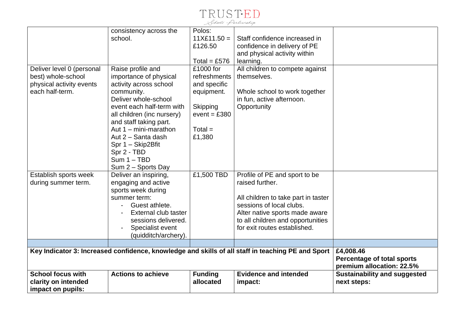

|                           | consistency across the     | Polos:         |                                                                                                   |                                                                |
|---------------------------|----------------------------|----------------|---------------------------------------------------------------------------------------------------|----------------------------------------------------------------|
|                           | school.                    | $11X£11.50 =$  | Staff confidence increased in                                                                     |                                                                |
|                           |                            | £126.50        | confidence in delivery of PE                                                                      |                                                                |
|                           |                            |                | and physical activity within                                                                      |                                                                |
|                           |                            | Total = £576   | learning.                                                                                         |                                                                |
| Deliver level 0 (personal | Raise profile and          | £1000 for      | All children to compete against                                                                   |                                                                |
| best) whole-school        | importance of physical     | refreshments   | themselves.                                                                                       |                                                                |
| physical activity events  | activity across school     | and specific   |                                                                                                   |                                                                |
| each half-term.           | community.                 | equipment.     | Whole school to work together                                                                     |                                                                |
|                           | Deliver whole-school       |                | in fun, active afternoon.                                                                         |                                                                |
|                           | event each half-term with  | Skipping       | Opportunity                                                                                       |                                                                |
|                           | all children (inc nursery) | $event = £380$ |                                                                                                   |                                                                |
|                           | and staff taking part.     |                |                                                                                                   |                                                                |
|                           | Aut $1 - minima$           | $Total =$      |                                                                                                   |                                                                |
|                           | Aut 2 - Santa dash         | £1,380         |                                                                                                   |                                                                |
|                           | Spr 1 - Skip2Bfit          |                |                                                                                                   |                                                                |
|                           | Spr 2 - TBD                |                |                                                                                                   |                                                                |
|                           | $Sum 1 - TBD$              |                |                                                                                                   |                                                                |
|                           | Sum 2 - Sports Day         |                |                                                                                                   |                                                                |
| Establish sports week     | Deliver an inspiring,      | £1,500 TBD     | Profile of PE and sport to be                                                                     |                                                                |
| during summer term.       | engaging and active        |                | raised further.                                                                                   |                                                                |
|                           | sports week during         |                |                                                                                                   |                                                                |
|                           | summer term:               |                | All children to take part in taster                                                               |                                                                |
|                           | Guest athlete.             |                | sessions of local clubs.                                                                          |                                                                |
|                           | External club taster       |                | Alter native sports made aware                                                                    |                                                                |
|                           | sessions delivered.        |                | to all children and opportunities                                                                 |                                                                |
|                           | Specialist event           |                | for exit routes established.                                                                      |                                                                |
|                           | (quidditch/archery).       |                |                                                                                                   |                                                                |
|                           |                            |                |                                                                                                   |                                                                |
|                           |                            |                | Key Indicator 3: Increased confidence, knowledge and skills of all staff in teaching PE and Sport | £4,008.46                                                      |
|                           |                            |                |                                                                                                   | <b>Percentage of total sports</b><br>premium allocation: 22.5% |
| <b>School focus with</b>  | <b>Actions to achieve</b>  | <b>Funding</b> | <b>Evidence and intended</b>                                                                      | <b>Sustainability and suggested</b>                            |
| clarity on intended       |                            | allocated      | impact:                                                                                           | next steps:                                                    |
| impact on pupils:         |                            |                |                                                                                                   |                                                                |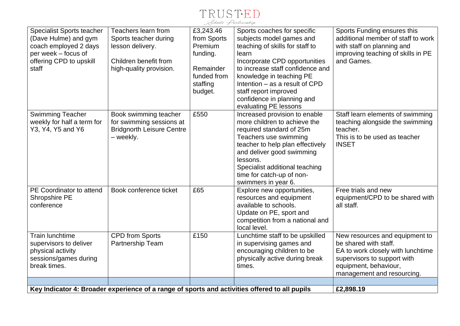

| <b>Specialist Sports teacher</b><br>(Dave Hulme) and gym<br>coach employed 2 days<br>per week – focus of<br>offering CPD to upskill<br>staff | Teachers learn from<br>Sports teacher during<br>lesson delivery.<br>Children benefit from<br>high-quality provision. | £3,243.46<br>from Sports<br>Premium<br>funding.<br>Remainder<br>funded from<br>staffing<br>budget. | Sports coaches for specific<br>subjects model games and<br>teaching of skills for staff to<br>learn<br>Incorporate CPD opportunities<br>to increase staff confidence and<br>knowledge in teaching PE<br>Intention – as a result of CPD<br>staff report improved<br>confidence in planning and<br>evaluating PE lessons | Sports Funding ensures this<br>additional member of staff to work<br>with staff on planning and<br>improving teaching of skills in PE<br>and Games.                                |
|----------------------------------------------------------------------------------------------------------------------------------------------|----------------------------------------------------------------------------------------------------------------------|----------------------------------------------------------------------------------------------------|------------------------------------------------------------------------------------------------------------------------------------------------------------------------------------------------------------------------------------------------------------------------------------------------------------------------|------------------------------------------------------------------------------------------------------------------------------------------------------------------------------------|
| <b>Swimming Teacher</b><br>weekly for half a term for<br>Y3, Y4, Y5 and Y6                                                                   | Book swimming teacher<br>for swimming sessions at<br><b>Bridgnorth Leisure Centre</b><br>- weekly.                   | £550                                                                                               | Increased provision to enable<br>more children to achieve the<br>required standard of 25m<br>Teachers use swimming<br>teacher to help plan effectively<br>and deliver good swimming<br>lessons.<br>Specialist additional teaching<br>time for catch-up of non-<br>swimmers in year 6.                                  | Staff learn elements of swimming<br>teaching alongside the swimming<br>teacher.<br>This is to be used as teacher<br><b>INSET</b>                                                   |
| PE Coordinator to attend<br>Shropshire PE<br>conference                                                                                      | Book conference ticket                                                                                               | £65                                                                                                | Explore new opportunities,<br>resources and equipment<br>available to schools.<br>Update on PE, sport and<br>competition from a national and<br>local level.                                                                                                                                                           | Free trials and new<br>equipment/CPD to be shared with<br>all staff.                                                                                                               |
| <b>Train lunchtime</b><br>supervisors to deliver<br>physical activity<br>sessions/games during<br>break times.                               | <b>CPD from Sports</b><br>Partnership Team                                                                           | £150                                                                                               | Lunchtime staff to be upskilled<br>in supervising games and<br>encouraging children to be<br>physically active during break<br>times.                                                                                                                                                                                  | New resources and equipment to<br>be shared with staff.<br>EA to work closely with lunchtime<br>supervisors to support with<br>equipment, behaviour,<br>management and resourcing. |
|                                                                                                                                              | Key Indicator 4: Broader experience of a range of sports and activities offered to all pupils                        |                                                                                                    |                                                                                                                                                                                                                                                                                                                        | £2,898.19                                                                                                                                                                          |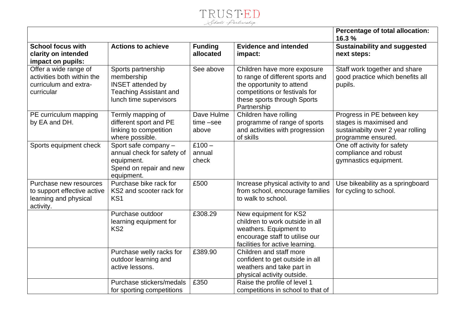| ools Parlnership |  |
|------------------|--|

|                                                                                             |                                                                                                                         |                                     |                                                                                                                                                                             | Percentage of total allocation:<br>16.3 %                                                                        |
|---------------------------------------------------------------------------------------------|-------------------------------------------------------------------------------------------------------------------------|-------------------------------------|-----------------------------------------------------------------------------------------------------------------------------------------------------------------------------|------------------------------------------------------------------------------------------------------------------|
| <b>School focus with</b><br>clarity on intended<br>impact on pupils:                        | <b>Actions to achieve</b>                                                                                               | <b>Funding</b><br>allocated         | <b>Evidence and intended</b><br>impact:                                                                                                                                     | <b>Sustainability and suggested</b><br>next steps:                                                               |
| Offer a wide range of<br>activities both within the<br>curriculum and extra-<br>curricular  | Sports partnership<br>membership<br><b>INSET</b> attended by<br><b>Teaching Assistant and</b><br>lunch time supervisors | See above                           | Children have more exposure<br>to range of different sports and<br>the opportunity to attend<br>competitions or festivals for<br>these sports through Sports<br>Partnership | Staff work together and share<br>good practice which benefits all<br>pupils.                                     |
| PE curriculum mapping<br>by EA and DH.                                                      | Termly mapping of<br>different sport and PE<br>linking to competition<br>where possible.                                | Dave Hulme<br>$time - see$<br>above | Children have rolling<br>programme of range of sports<br>and activities with progression<br>of skills                                                                       | Progress in PE between key<br>stages is maximised and<br>sustainabilty over 2 year rolling<br>programme ensured. |
| Sports equipment check                                                                      | Sport safe company $-$<br>annual check for safety of<br>equipment.<br>Spend on repair and new<br>equipment.             | $£100 -$<br>annual<br>check         |                                                                                                                                                                             | One off activity for safety<br>compliance and robust<br>gymnastics equipment.                                    |
| Purchase new resources<br>to support effective active<br>learning and physical<br>activity. | Purchase bike rack for<br>KS2 and scooter rack for<br>KS <sub>1</sub>                                                   | £500                                | Increase physical activity to and<br>from school, encourage families<br>to walk to school.                                                                                  | Use bikeability as a springboard<br>for cycling to school.                                                       |
|                                                                                             | Purchase outdoor<br>learning equipment for<br>KS <sub>2</sub>                                                           | £308.29                             | New equipment for KS2<br>children to work outside in all<br>weathers. Equipment to<br>encourage staff to utilise our<br>facilities for active learning.                     |                                                                                                                  |
|                                                                                             | Purchase welly racks for<br>outdoor learning and<br>active lessons.                                                     | £389.90                             | Children and staff more<br>confident to get outside in all<br>weathers and take part in<br>physical activity outside.                                                       |                                                                                                                  |
|                                                                                             | Purchase stickers/medals<br>for sporting competitions                                                                   | £350                                | Raise the profile of level 1<br>competitions in school to that of                                                                                                           |                                                                                                                  |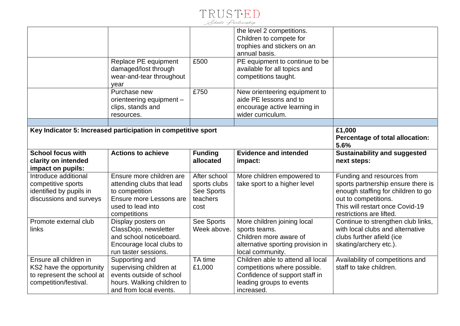

|                            |                                                               |                | the level 2 competitions.         |                                     |
|----------------------------|---------------------------------------------------------------|----------------|-----------------------------------|-------------------------------------|
|                            |                                                               |                | Children to compete for           |                                     |
|                            |                                                               |                | trophies and stickers on an       |                                     |
|                            |                                                               |                | annual basis.                     |                                     |
|                            | Replace PE equipment                                          | £500           | PE equipment to continue to be    |                                     |
|                            | damaged/lost through                                          |                | available for all topics and      |                                     |
|                            | wear-and-tear throughout                                      |                | competitions taught.              |                                     |
|                            | year                                                          |                |                                   |                                     |
|                            | Purchase new                                                  | £750           | New orienteering equipment to     |                                     |
|                            | orienteering equipment -                                      |                | aide PE lessons and to            |                                     |
|                            | clips, stands and                                             |                | encourage active learning in      |                                     |
|                            | resources.                                                    |                | wider curriculum.                 |                                     |
|                            |                                                               |                |                                   |                                     |
|                            | Key Indicator 5: Increased participation in competitive sport |                |                                   | £1,000                              |
|                            |                                                               |                |                                   | Percentage of total allocation:     |
|                            |                                                               |                |                                   | 5.6%                                |
| <b>School focus with</b>   | <b>Actions to achieve</b>                                     | <b>Funding</b> | <b>Evidence and intended</b>      | <b>Sustainability and suggested</b> |
| clarity on intended        |                                                               | allocated      | impact:                           | next steps:                         |
|                            |                                                               |                |                                   |                                     |
| impact on pupils:          |                                                               |                |                                   |                                     |
| Introduce additional       | Ensure more children are                                      | After school   | More children empowered to        | Funding and resources from          |
| competitive sports         | attending clubs that lead                                     | sports clubs   | take sport to a higher level      | sports partnership ensure there is  |
| identified by pupils in    | to competition                                                | See Sports     |                                   | enough staffing for children to go  |
| discussions and surveys    | Ensure more Lessons are                                       | teachers       |                                   | out to competitions.                |
|                            | used to lead into                                             | cost           |                                   | This will restart once Covid-19     |
|                            | competitions                                                  |                |                                   | restrictions are lifted.            |
| Promote external club      | Display posters on                                            | See Sports     | More children joining local       | Continue to strengthen club links,  |
| links                      | ClassDojo, newsletter                                         | Week above.    | sports teams.                     | with local clubs and alternative    |
|                            | and school noticeboard.                                       |                | Children more aware of            | clubs further afield (ice           |
|                            | Encourage local clubs to                                      |                | alternative sporting provision in | skating/archery etc.).              |
|                            | run taster sessions.                                          |                | local community.                  |                                     |
| Ensure all children in     | Supporting and                                                | TA time        | Children able to attend all local | Availability of competitions and    |
| KS2 have the opportunity   | supervising children at                                       | £1,000         | competitions where possible.      | staff to take children.             |
| to represent the school at | events outside of school                                      |                | Confidence of support staff in    |                                     |
| competition/festival.      | hours. Walking children to<br>and from local events.          |                | leading groups to events          |                                     |